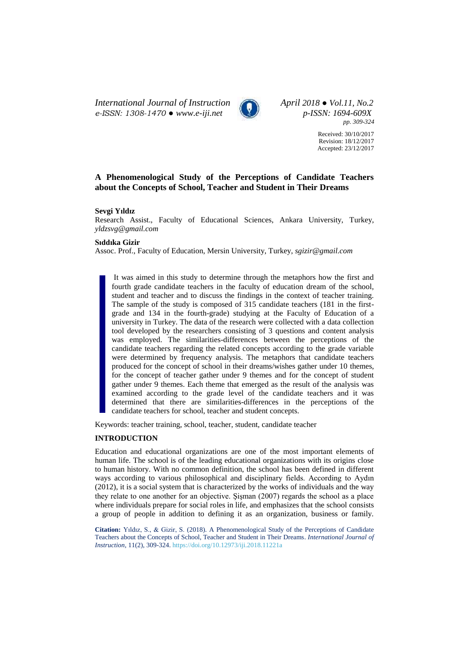*International Journal of Instruction April 2018 ● Vol.11, No.2 e-ISSN: 1308-1470 ● [www.e-iji.net](http://www.e-iji.net/) p-ISSN: 1694-609X*



*pp. 309-324*

Received: 30/10/2017 Revision: 18/12/2017 Accepted: 23/12/2017

# **A Phenomenological Study of the Perceptions of Candidate Teachers about the Concepts of School, Teacher and Student in Their Dreams**

### **Sevgi Yıldız**

Research Assist., Faculty of Educational Sciences, Ankara University, Turkey, *yldzsvg@gmail.com*

#### **Sıddıka Gizir**

Assoc. Prof., Faculty of Education, Mersin University, Turkey, *sgizir@gmail.com*

It was aimed in this study to determine through the metaphors how the first and fourth grade candidate teachers in the faculty of education dream of the school, student and teacher and to discuss the findings in the context of teacher training. The sample of the study is composed of 315 candidate teachers (181 in the firstgrade and 134 in the fourth-grade) studying at the Faculty of Education of a university in Turkey. The data of the research were collected with a data collection tool developed by the researchers consisting of 3 questions and content analysis was employed. The similarities-differences between the perceptions of the candidate teachers regarding the related concepts according to the grade variable were determined by frequency analysis. The metaphors that candidate teachers produced for the concept of school in their dreams/wishes gather under 10 themes, for the concept of teacher gather under 9 themes and for the concept of student gather under 9 themes. Each theme that emerged as the result of the analysis was examined according to the grade level of the candidate teachers and it was determined that there are similarities-differences in the perceptions of the candidate teachers for school, teacher and student concepts.

Keywords: teacher training, school, teacher, student, candidate teacher

## **INTRODUCTION**

Education and educational organizations are one of the most important elements of human life. The school is of the leading educational organizations with its origins close to human history. With no common definition, the school has been defined in different ways according to various philosophical and disciplinary fields. According to Aydın (2012), it is a social system that is characterized by the works of individuals and the way they relate to one another for an objective. Şişman (2007) regards the school as a place where individuals prepare for social roles in life, and emphasizes that the school consists a group of people in addition to defining it as an organization, business or family.

**Citation:** Yıldız, S., & Gizir, S. (2018). A Phenomenological Study of the Perceptions of Candidate Teachers about the Concepts of School, Teacher and Student in Their Dreams. *International Journal of Instruction*, 11(2), 309-324. <https://doi.org/10.12973/iji.2018.11221a>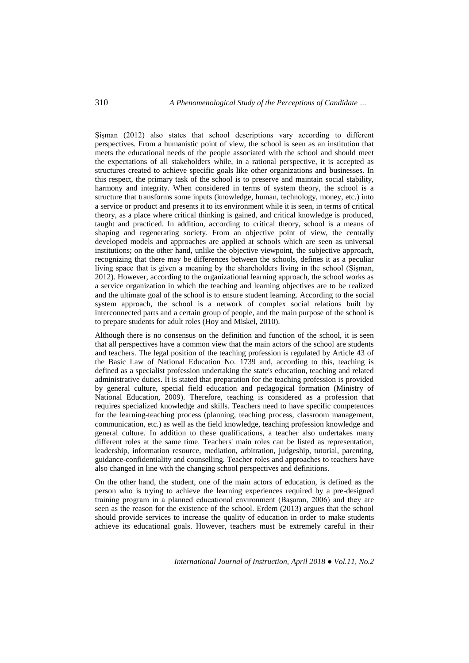Şişman (2012) also states that school descriptions vary according to different perspectives. From a humanistic point of view, the school is seen as an institution that meets the educational needs of the people associated with the school and should meet the expectations of all stakeholders while, in a rational perspective, it is accepted as structures created to achieve specific goals like other organizations and businesses. In this respect, the primary task of the school is to preserve and maintain social stability, harmony and integrity. When considered in terms of system theory, the school is a structure that transforms some inputs (knowledge, human, technology, money, etc.) into a service or product and presents it to its environment while it is seen, in terms of critical theory, as a place where critical thinking is gained, and critical knowledge is produced, taught and practiced. In addition, according to critical theory, school is a means of shaping and regenerating society. From an objective point of view, the centrally developed models and approaches are applied at schools which are seen as universal institutions; on the other hand, unlike the objective viewpoint, the subjective approach, recognizing that there may be differences between the schools, defines it as a peculiar living space that is given a meaning by the shareholders living in the school (Şişman, 2012). However, according to the organizational learning approach, the school works as a service organization in which the teaching and learning objectives are to be realized and the ultimate goal of the school is to ensure student learning. According to the social system approach, the school is a network of complex social relations built by interconnected parts and a certain group of people, and the main purpose of the school is to prepare students for adult roles (Hoy and Miskel, 2010).

Although there is no consensus on the definition and function of the school, it is seen that all perspectives have a common view that the main actors of the school are students and teachers. The legal position of the teaching profession is regulated by Article 43 of the Basic Law of National Education No. 1739 and, according to this, teaching is defined as a specialist profession undertaking the state's education, teaching and related administrative duties. It is stated that preparation for the teaching profession is provided by general culture, special field education and pedagogical formation (Ministry of National Education, 2009). Therefore, teaching is considered as a profession that requires specialized knowledge and skills. Teachers need to have specific competences for the learning-teaching process (planning, teaching process, classroom management, communication, etc.) as well as the field knowledge, teaching profession knowledge and general culture. In addition to these qualifications, a teacher also undertakes many different roles at the same time. Teachers' main roles can be listed as representation, leadership, information resource, mediation, arbitration, judgeship, tutorial, parenting, guidance-confidentiality and counselling. Teacher roles and approaches to teachers have also changed in line with the changing school perspectives and definitions.

On the other hand, the student, one of the main actors of education, is defined as the person who is trying to achieve the learning experiences required by a pre-designed training program in a planned educational environment (Başaran, 2006) and they are seen as the reason for the existence of the school. Erdem (2013) argues that the school should provide services to increase the quality of education in order to make students achieve its educational goals. However, teachers must be extremely careful in their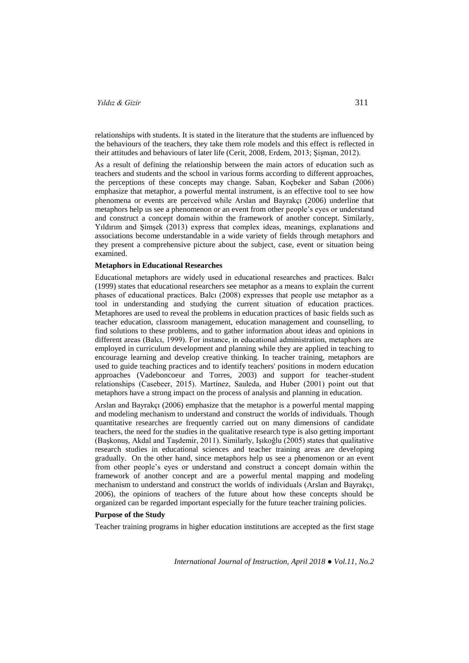relationships with students. It is stated in the literature that the students are influenced by the behaviours of the teachers, they take them role models and this effect is reflected in their attitudes and behaviours of later life (Cerit, 2008, Erdem, 2013; Şişman, 2012).

As a result of defining the relationship between the main actors of education such as teachers and students and the school in various forms according to different approaches, the perceptions of these concepts may change. Saban, Koçbeker and Saban (2006) emphasize that metaphor, a powerful mental instrument, is an effective tool to see how phenomena or events are perceived while Arslan and Bayrakçı (2006) underline that metaphors help us see a phenomenon or an event from other people's eyes or understand and construct a concept domain within the framework of another concept. Similarly, Yıldırım and Şimşek (2013) express that complex ideas, meanings, explanations and associations become understandable in a wide variety of fields through metaphors and they present a comprehensive picture about the subject, case, event or situation being examined.

### **Metaphors in Educational Researches**

Educational metaphors are widely used in educational researches and practices. Balcı (1999) states that educational researchers see metaphor as a means to explain the current phases of educational practices. Balcı (2008) expresses that people use metaphor as a tool in understanding and studying the current situation of education practices. Metaphores are used to reveal the problems in education practices of basic fields such as teacher education, classroom management, education management and counselling, to find solutions to these problems, and to gather information about ideas and opinions in different areas (Balcı, 1999). For instance, in educational administration, metaphors are employed in curriculum development and planning while they are applied in teaching to encourage learning and develop creative thinking. In teacher training, metaphors are used to guide teaching practices and to identify teachers' positions in modern education approaches (Vadeboncoeur and Torres, 2003) and support for teacher-student relationships (Casebeer, 2015). Martínez, Sauleda, and Huber (2001) point out that metaphors have a strong impact on the process of analysis and planning in education.

Arslan and Bayrakçı (2006) emphasize that the metaphor is a powerful mental mapping and modeling mechanism to understand and construct the worlds of individuals. Though quantitative researches are frequently carried out on many dimensions of candidate teachers, the need for the studies in the qualitative research type is also getting important (Başkonuş, Akdal and Taşdemir, 2011). Similarly, Işıkoğlu (2005) states that qualitative research studies in educational sciences and teacher training areas are developing gradually. On the other hand, since metaphors help us see a phenomenon or an event from other people's eyes or understand and construct a concept domain within the framework of another concept and are a powerful mental mapping and modeling mechanism to understand and construct the worlds of individuals (Arslan and Bayrakçı, 2006), the opinions of teachers of the future about how these concepts should be organized can be regarded important especially for the future teacher training policies.

### **Purpose of the Study**

Teacher training programs in higher education institutions are accepted as the first stage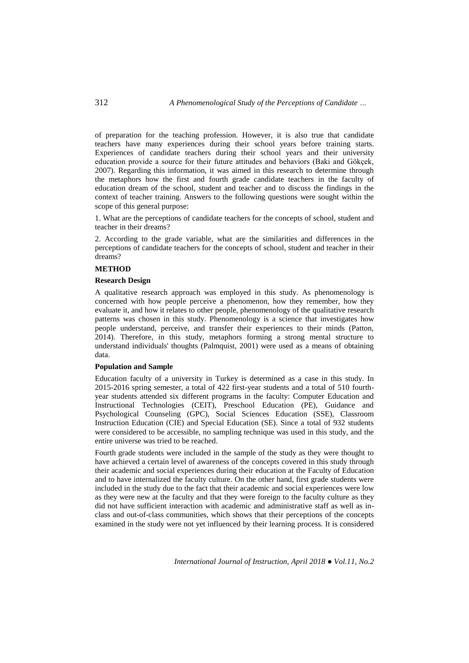of preparation for the teaching profession. However, it is also true that candidate teachers have many experiences during their school years before training starts. Experiences of candidate teachers during their school years and their university education provide a source for their future attitudes and behaviors (Baki and Gökçek, 2007). Regarding this information, it was aimed in this research to determine through the metaphors how the first and fourth grade candidate teachers in the faculty of education dream of the school, student and teacher and to discuss the findings in the context of teacher training. Answers to the following questions were sought within the scope of this general purpose:

1. What are the perceptions of candidate teachers for the concepts of school, student and teacher in their dreams?

2. According to the grade variable, what are the similarities and differences in the perceptions of candidate teachers for the concepts of school, student and teacher in their dreams?

### **METHOD**

## **Research Design**

A qualitative research approach was employed in this study. As phenomenology is concerned with how people perceive a phenomenon, how they remember, how they evaluate it, and how it relates to other people, phenomenology of the qualitative research patterns was chosen in this study. Phenomenology is a science that investigates how people understand, perceive, and transfer their experiences to their minds (Patton, 2014). Therefore, in this study, metaphors forming a strong mental structure to understand individuals' thoughts (Palmquist, 2001) were used as a means of obtaining data.

## **Population and Sample**

Education faculty of a university in Turkey is determined as a case in this study. In 2015-2016 spring semester, a total of 422 first-year students and a total of 510 fourthyear students attended six different programs in the faculty: Computer Education and Instructional Technologies (CEIT), Preschool Education (PE), Guidance and Psychological Counseling (GPC), Social Sciences Education (SSE), Classroom Instruction Education (CIE) and Special Education (SE). Since a total of 932 students were considered to be accessible, no sampling technique was used in this study, and the entire universe was tried to be reached.

Fourth grade students were included in the sample of the study as they were thought to have achieved a certain level of awareness of the concepts covered in this study through their academic and social experiences during their education at the Faculty of Education and to have internalized the faculty culture. On the other hand, first grade students were included in the study due to the fact that their academic and social experiences were low as they were new at the faculty and that they were foreign to the faculty culture as they did not have sufficient interaction with academic and administrative staff as well as inclass and out-of-class communities, which shows that their perceptions of the concepts examined in the study were not yet influenced by their learning process. It is considered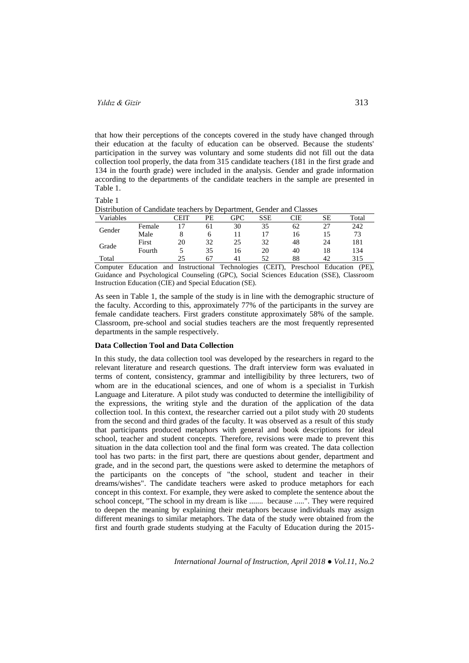that how their perceptions of the concepts covered in the study have changed through their education at the faculty of education can be observed. Because the students' participation in the survey was voluntary and some students did not fill out the data collection tool properly, the data from 315 candidate teachers (181 in the first grade and 134 in the fourth grade) were included in the analysis. Gender and grade information according to the departments of the candidate teachers in the sample are presented in Table 1.

#### Table 1

Distribution of Candidate teachers by Department, Gender and Classes

| Variables |        | CEIT | PE | GPC | <b>SSE</b> | CIE | SЕ | Total |  |
|-----------|--------|------|----|-----|------------|-----|----|-------|--|
| Gender    | Female |      | 61 | 30  | 35         | 62  | 27 | 242   |  |
|           | Male   | Ω    | O  |     |            | 16  |    | 73    |  |
| Grade     | First  | 20   | 32 | 25  | 32         | 48  | 24 | 181   |  |
|           | Fourth |      | 35 | 16  | 20         | 40  | 18 | 134   |  |
| Total     |        | 25   | 67 | 41  | 52         | 88  | 42 | 315   |  |
|           |        |      |    |     |            |     |    |       |  |

Computer Education and Instructional Technologies (CEIT), Preschool Education (PE), Guidance and Psychological Counseling (GPC), Social Sciences Education (SSE), Classroom Instruction Education (CIE) and Special Education (SE).

As seen in Table 1, the sample of the study is in line with the demographic structure of the faculty. According to this, approximately 77% of the participants in the survey are female candidate teachers. First graders constitute approximately 58% of the sample. Classroom, pre-school and social studies teachers are the most frequently represented departments in the sample respectively.

#### **Data Collection Tool and Data Collection**

In this study, the data collection tool was developed by the researchers in regard to the relevant literature and research questions. The draft interview form was evaluated in terms of content, consistency, grammar and intelligibility by three lecturers, two of whom are in the educational sciences, and one of whom is a specialist in Turkish Language and Literature. A pilot study was conducted to determine the intelligibility of the expressions, the writing style and the duration of the application of the data collection tool. In this context, the researcher carried out a pilot study with 20 students from the second and third grades of the faculty. It was observed as a result of this study that participants produced metaphors with general and book descriptions for ideal school, teacher and student concepts. Therefore, revisions were made to prevent this situation in the data collection tool and the final form was created. The data collection tool has two parts: in the first part, there are questions about gender, department and grade, and in the second part, the questions were asked to determine the metaphors of the participants on the concepts of "the school, student and teacher in their dreams/wishes". The candidate teachers were asked to produce metaphors for each concept in this context. For example, they were asked to complete the sentence about the school concept, "The school in my dream is like ....... because .....". They were required to deepen the meaning by explaining their metaphors because individuals may assign different meanings to similar metaphors. The data of the study were obtained from the first and fourth grade students studying at the Faculty of Education during the 2015-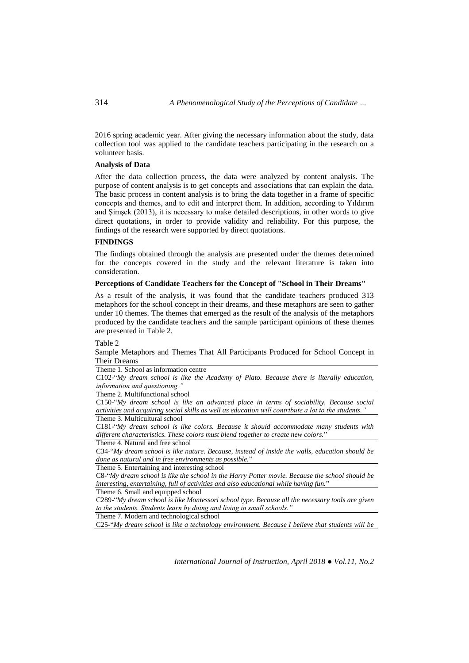2016 spring academic year. After giving the necessary information about the study, data collection tool was applied to the candidate teachers participating in the research on a volunteer basis.

#### **Analysis of Data**

After the data collection process, the data were analyzed by content analysis. The purpose of content analysis is to get concepts and associations that can explain the data. The basic process in content analysis is to bring the data together in a frame of specific concepts and themes, and to edit and interpret them. In addition, according to Yıldırım and Şimşek (2013), it is necessary to make detailed descriptions, in other words to give direct quotations, in order to provide validity and reliability. For this purpose, the findings of the research were supported by direct quotations.

### **FINDINGS**

The findings obtained through the analysis are presented under the themes determined for the concepts covered in the study and the relevant literature is taken into consideration.

### **Perceptions of Candidate Teachers for the Concept of "School in Their Dreams"**

As a result of the analysis, it was found that the candidate teachers produced 313 metaphors for the school concept in their dreams, and these metaphors are seen to gather under 10 themes. The themes that emerged as the result of the analysis of the metaphors produced by the candidate teachers and the sample participant opinions of these themes are presented in Table 2.

Table 2

Sample Metaphors and Themes That All Participants Produced for School Concept in Their Dreams

- Theme 1. School as information centre
- C102-"*My dream school is like the Academy of Plato. Because there is literally education, information and questioning."*

Theme 2. Multifunctional school

C150-"*My dream school is like an advanced place in terms of sociability. Because social activities and acquiring social skills as well as education will contribute a lot to the students."* Theme 3. Multicultural school

C181-"*My dream school is like colors. Because it should accommodate many students with different characteristics. These colors must blend together to create new colors.*"

Theme 4. Natural and free school

C34-"*My dream school is like nature. Because, instead of inside the walls, education should be done as natural and in free environments as possible.*"

Theme 5. Entertaining and interesting school

C8-"*My dream school is like the school in the Harry Potter movie. Because the school should be interesting, entertaining, full of activities and also educational while having fun.*"

Theme 6. Small and equipped school

C289-"*My dream school is like Montessori school type. Because all the necessary tools are given to the students. Students learn by doing and living in small schools."*

Theme 7. Modern and technological school

C25-"*My dream school is like a technology environment. Because I believe that students will be*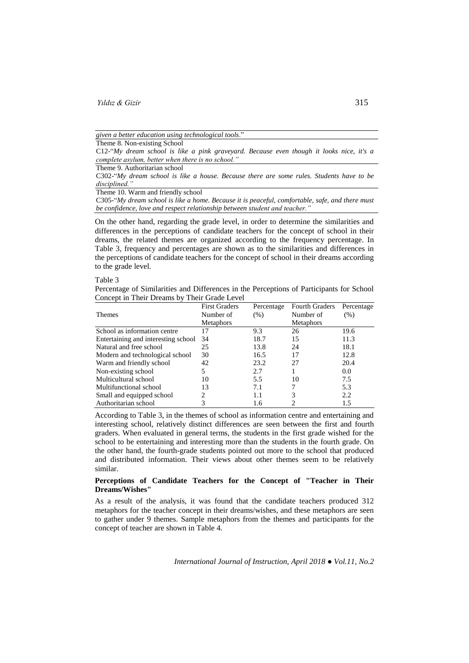*given a better education using technological tools*."

Theme 8. Non-existing School

C12-"*My dream school is like a pink graveyard. Because even though it looks nice, it's a complete asylum, better when there is no school."*

Theme 9. Authoritarian school

C302-"*My dream school is like a house. Because there are some rules. Students have to be disciplined."*

Theme 10. Warm and friendly school

C305-"*My dream school is like a home. Because it is peaceful, comfortable, safe, and there must be confidence, love and respect relationship between student and teacher."*

On the other hand, regarding the grade level, in order to determine the similarities and differences in the perceptions of candidate teachers for the concept of school in their dreams, the related themes are organized according to the frequency percentage. In Table 3, frequency and percentages are shown as to the similarities and differences in the perceptions of candidate teachers for the concept of school in their dreams according to the grade level.

Table 3

Percentage of Similarities and Differences in the Perceptions of Participants for School Concept in Their Dreams by Their Grade Level

|                                     | <b>First Graders</b>          | Percentage | Fourth Graders   | Percentage |
|-------------------------------------|-------------------------------|------------|------------------|------------|
| <b>Themes</b>                       | Number of                     | $(\%)$     | Number of        | (% )       |
|                                     | <b>Metaphors</b>              |            | <b>Metaphors</b> |            |
| School as information centre        | 17                            | 9.3        | 26               | 19.6       |
| Entertaining and interesting school | 34                            | 18.7       | 15               | 11.3       |
| Natural and free school             | 25                            | 13.8       | 24               | 18.1       |
| Modern and technological school     | 30                            | 16.5       | 17               | 12.8       |
| Warm and friendly school            | 42                            | 23.2       | 27               | 20.4       |
| Non-existing school                 |                               | 2.7        |                  | 0.0        |
| Multicultural school                | 10                            | 5.5        | 10               | 7.5        |
| Multifunctional school              | 13                            | 7.1        |                  | 5.3        |
| Small and equipped school           | $\mathfrak{D}_{\mathfrak{p}}$ | 1.1        |                  | 2.2        |
| Authoritarian school                |                               | 1.6        |                  | 1.5        |

According to Table 3, in the themes of school as information centre and entertaining and interesting school, relatively distinct differences are seen between the first and fourth graders. When evaluated in general terms, the students in the first grade wished for the school to be entertaining and interesting more than the students in the fourth grade. On the other hand, the fourth-grade students pointed out more to the school that produced and distributed information. Their views about other themes seem to be relatively similar.

### **Perceptions of Candidate Teachers for the Concept of "Teacher in Their Dreams/Wishes"**

As a result of the analysis, it was found that the candidate teachers produced 312 metaphors for the teacher concept in their dreams/wishes, and these metaphors are seen to gather under 9 themes. Sample metaphors from the themes and participants for the concept of teacher are shown in Table 4.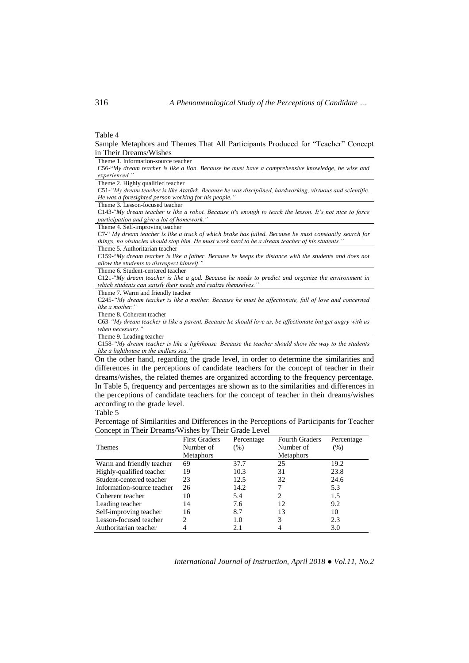### Table 4

Sample Metaphors and Themes That All Participants Produced for "Teacher" Concept in Their Dreams/Wishes

Theme 1. Information-source teacher

C56-"*My dream teacher is like a lion. Because he must have a comprehensive knowledge, be wise and experienced."* 

Theme 2. Highly qualified teacher

C51-*"My dream teacher is like Atatürk. Because he was disciplined, hardworking, virtuous and scientific. He was a foresighted person working for his people."*

Theme 3. Lesson-focused teacher

C143-"*My dream teacher is like a robot. Because it's enough to teach the lesson. It's not nice to force participation and give a lot of homework."*

Theme 4. Self-improving teacher

C7-" *My dream teacher is like a truck of which brake has failed. Because he must constantly search for things, no obstacles should stop him. He must work hard to be a dream teacher of his students."*

Theme 5. Authoritarian teacher

C159-"*My dream teacher is like a father. Because he keeps the distance with the students and does not allow the students to disrespect himself."*

Theme 6. Student-centered teacher

C121-"*My dream teacher is like a god. Because he needs to predict and organize the environment in which students can satisfy their needs and realize themselves."* 

Theme 7. Warm and friendly teacher

C245*-"My dream teacher is like a mother. Because he must be affectionate, full of love and concerned like a mother."*

Theme 8. Coherent teacher

C63-*"My dream teacher is like a parent. Because he should love us, be affectionate but get angry with us when necessary."*

Theme 9. Leading teacher

C158-*"My dream teacher is like a lighthouse. Because the teacher should show the way to the students like a lighthouse in the endless sea."*

On the other hand, regarding the grade level, in order to determine the similarities and differences in the perceptions of candidate teachers for the concept of teacher in their dreams/wishes, the related themes are organized according to the frequency percentage. In Table 5, frequency and percentages are shown as to the similarities and differences in the perceptions of candidate teachers for the concept of teacher in their dreams/wishes according to the grade level.

Table 5

Percentage of Similarities and Differences in the Perceptions of Participants for Teacher Concept in Their Dreams/Wishes by Their Grade Level

|                            | <b>First Graders</b> | Percentage | <b>Fourth Graders</b> | Percentage |
|----------------------------|----------------------|------------|-----------------------|------------|
| <b>Themes</b>              | Number of            | (% )       | Number of             | (% )       |
|                            | <b>Metaphors</b>     |            | <b>Metaphors</b>      |            |
| Warm and friendly teacher  | 69                   | 37.7       | 25                    | 19.2       |
| Highly-qualified teacher   | 19                   | 10.3       | 31                    | 23.8       |
| Student-centered teacher   | 23                   | 12.5       | 32                    | 24.6       |
| Information-source teacher | 26                   | 14.2       |                       | 5.3        |
| Coherent teacher           | 10                   | 5.4        | 2                     | 1.5        |
| Leading teacher            | 14                   | 7.6        | 12                    | 9.2        |
| Self-improving teacher     | 16                   | 8.7        | 13                    | 10         |
| Lesson-focused teacher     | 2                    | 1.0        | 3                     | 2.3        |
| Authoritarian teacher      |                      | 2.1        | 4                     | 3.0        |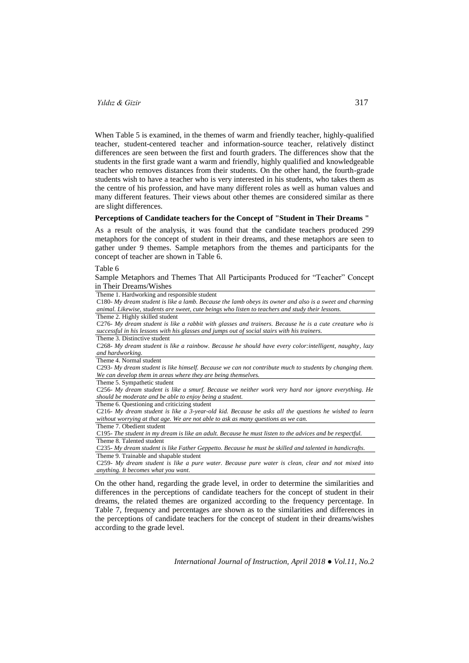When Table 5 is examined, in the themes of warm and friendly teacher, highly-qualified teacher, student-centered teacher and information-source teacher, relatively distinct differences are seen between the first and fourth graders. The differences show that the students in the first grade want a warm and friendly, highly qualified and knowledgeable teacher who removes distances from their students. On the other hand, the fourth-grade students wish to have a teacher who is very interested in his students, who takes them as the centre of his profession, and have many different roles as well as human values and many different features. Their views about other themes are considered similar as there are slight differences.

#### **Perceptions of Candidate teachers for the Concept of "Student in Their Dreams "**

As a result of the analysis, it was found that the candidate teachers produced 299 metaphors for the concept of student in their dreams, and these metaphors are seen to gather under 9 themes. Sample metaphors from the themes and participants for the concept of teacher are shown in Table 6.

#### Table 6

Sample Metaphors and Themes That All Participants Produced for "Teacher" Concept in Their Dreams/Wishes

Theme 1. Hardworking and responsible student

C180- *My dream student is like a lamb. Because the lamb obeys its owner and also is a sweet and charming animal. Likewise, students are sweet, cute beings who listen to teachers and study their lessons.* Theme 2. Highly skilled student

C276- *My dream student is like a rabbit with glasses and trainers. Because he is a cute creature who is successful in his lessons with his glasses and jumps out of social stairs with his trainers.* Theme 3. Distinctive student

C268- *My dream student is like a rainbow. Because he should have every color:intelligent, naughty, lazy and hardworking.*

Theme 4. Normal student

C293- *My dream student is like himself. Because we can not contribute much to students by changing them. We can develop them in areas where they are being themselves.*

Theme 5. Sympathetic student

C256*- My dream student is like a smurf. Because we neither work very hard nor ignore everything. He should be moderate and be able to enjoy being a student.*

Theme 6. Questioning and criticizing student

C216- *My dream student is like a 3-year-old kid. Because he asks all the questions he wished to learn without worrying at that age. We are not able to ask as many questions as we can.* Theme 7. Obedient student

C195- *The student in my dream is like an adult. Because he must listen to the advices and be respectful.* Theme 8. Talented student

C235- *My dream student is like Father Geppetto. Because he must be skilled and talented in handicrafts.* Theme 9. Trainable and shapable student

C259*- My dream student is like a pure water. Because pure water is clean, clear and not mixed into anything. It becomes what you want.*

On the other hand, regarding the grade level, in order to determine the similarities and differences in the perceptions of candidate teachers for the concept of student in their dreams, the related themes are organized according to the frequency percentage. In Table 7, frequency and percentages are shown as to the similarities and differences in the perceptions of candidate teachers for the concept of student in their dreams/wishes according to the grade level.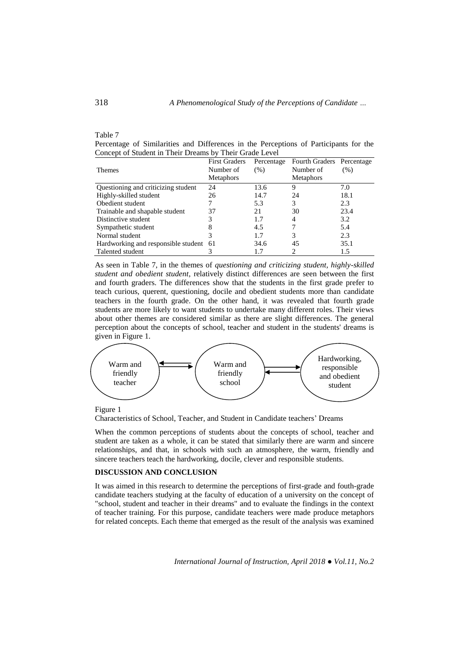## Table 7

Percentage of Similarities and Differences in the Perceptions of Participants for the Concept of Student in Their Dreams by Their Grade Level

|                                        | <b>First Graders</b> | Percentage | Fourth Graders Percentage |      |
|----------------------------------------|----------------------|------------|---------------------------|------|
| <b>Themes</b>                          | Number of            | (% )       | Number of                 | (% ) |
|                                        | <b>Metaphors</b>     |            | <b>Metaphors</b>          |      |
| Questioning and criticizing student    | 24                   | 13.6       | 9                         | 7.0  |
| Highly-skilled student                 | 26                   | 14.7       | 24                        | 18.1 |
| Obedient student                       |                      | 5.3        | 3                         | 2.3  |
| Trainable and shapable student         | 37                   | 21         | 30                        | 23.4 |
| Distinctive student                    |                      | 1.7        | 4                         | 3.2  |
| Sympathetic student                    |                      | 4.5        |                           | 5.4  |
| Normal student                         |                      | 1.7        | 3                         | 2.3  |
| Hardworking and responsible student 61 |                      | 34.6       | 45                        | 35.1 |
| Talented student                       |                      |            |                           | 1.5  |

As seen in Table 7, in the themes of *questioning and criticizing student, highly-skilled student and obedient student*, relatively distinct differences are seen between the first and fourth graders. The differences show that the students in the first grade prefer to teach curious, querent, questioning, docile and obedient students more than candidate teachers in the fourth grade. On the other hand, it was revealed that fourth grade students are more likely to want students to undertake many different roles. Their views about other themes are considered similar as there are slight differences. The general perception about the concepts of school, teacher and student in the students' dreams is given in Figure 1.



### Figure 1

Characteristics of School, Teacher, and Student in Candidate teachers' Dreams

When the common perceptions of students about the concepts of school, teacher and student are taken as a whole, it can be stated that similarly there are warm and sincere relationships, and that, in schools with such an atmosphere, the warm, friendly and sincere teachers teach the hardworking, docile, clever and responsible students.

### **DISCUSSION AND CONCLUSION**

It was aimed in this research to determine the perceptions of first-grade and fouth-grade candidate teachers studying at the faculty of education of a university on the concept of "school, student and teacher in their dreams" and to evaluate the findings in the context of teacher training. For this purpose, candidate teachers were made produce metaphors for related concepts. Each theme that emerged as the result of the analysis was examined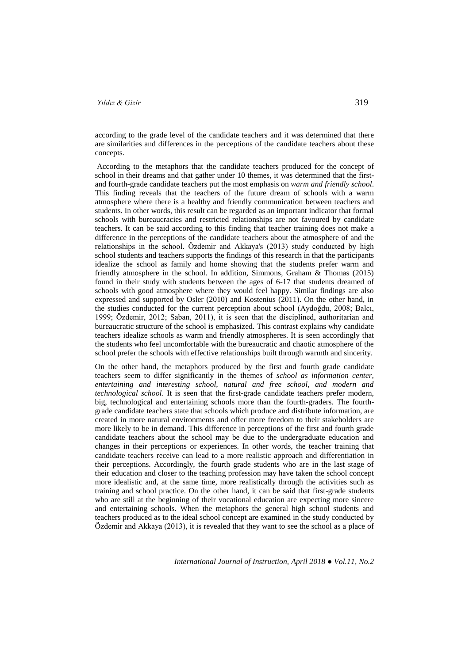according to the grade level of the candidate teachers and it was determined that there are similarities and differences in the perceptions of the candidate teachers about these concepts.

According to the metaphors that the candidate teachers produced for the concept of school in their dreams and that gather under 10 themes, it was determined that the firstand fourth-grade candidate teachers put the most emphasis on *warm and friendly school*. This finding reveals that the teachers of the future dream of schools with a warm atmosphere where there is a healthy and friendly communication between teachers and students. In other words, this result can be regarded as an important indicator that formal schools with bureaucracies and restricted relationships are not favoured by candidate teachers. It can be said according to this finding that teacher training does not make a difference in the perceptions of the candidate teachers about the atmosphere of and the relationships in the school. Özdemir and Akkaya's (2013) study conducted by high school students and teachers supports the findings of this research in that the participants idealize the school as family and home showing that the students prefer warm and friendly atmosphere in the school. In addition, Simmons, Graham & Thomas (2015) found in their study with students between the ages of 6-17 that students dreamed of schools with good atmosphere where they would feel happy. Similar findings are also expressed and supported by Osler (2010) and Kostenius (2011). On the other hand, in the studies conducted for the current perception about school (Aydoğdu, 2008; Balcı, 1999; Özdemir, 2012; Saban, 2011), it is seen that the disciplined, authoritarian and bureaucratic structure of the school is emphasized. This contrast explains why candidate teachers idealize schools as warm and friendly atmospheres. It is seen accordingly that the students who feel uncomfortable with the bureaucratic and chaotic atmosphere of the school prefer the schools with effective relationships built through warmth and sincerity.

On the other hand, the metaphors produced by the first and fourth grade candidate teachers seem to differ significantly in the themes of *school as information center, entertaining and interesting school, natural and free school, and modern and technological school*. It is seen that the first-grade candidate teachers prefer modern, big, technological and entertaining schools more than the fourth-graders. The fourthgrade candidate teachers state that schools which produce and distribute information, are created in more natural environments and offer more freedom to their stakeholders are more likely to be in demand. This difference in perceptions of the first and fourth grade candidate teachers about the school may be due to the undergraduate education and changes in their perceptions or experiences. In other words, the teacher training that candidate teachers receive can lead to a more realistic approach and differentiation in their perceptions. Accordingly, the fourth grade students who are in the last stage of their education and closer to the teaching profession may have taken the school concept more idealistic and, at the same time, more realistically through the activities such as training and school practice. On the other hand, it can be said that first-grade students who are still at the beginning of their vocational education are expecting more sincere and entertaining schools. When the metaphors the general high school students and teachers produced as to the ideal school concept are examined in the study conducted by Özdemir and Akkaya (2013), it is revealed that they want to see the school as a place of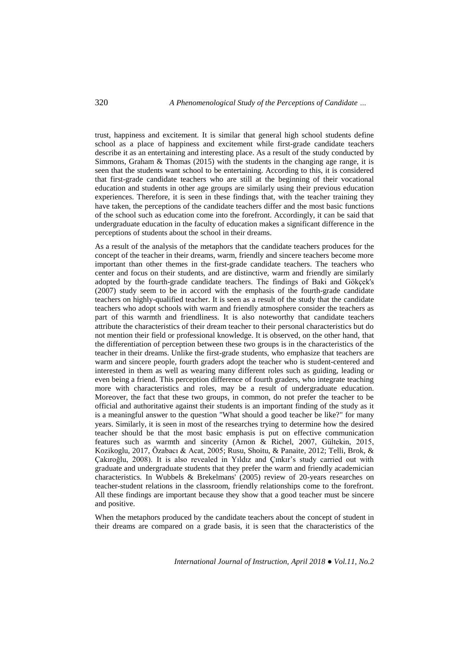trust, happiness and excitement. It is similar that general high school students define school as a place of happiness and excitement while first-grade candidate teachers describe it as an entertaining and interesting place. As a result of the study conducted by Simmons, Graham  $\&$  Thomas (2015) with the students in the changing age range, it is seen that the students want school to be entertaining. According to this, it is considered that first-grade candidate teachers who are still at the beginning of their vocational education and students in other age groups are similarly using their previous education experiences. Therefore, it is seen in these findings that, with the teacher training they have taken, the perceptions of the candidate teachers differ and the most basic functions of the school such as education come into the forefront. Accordingly, it can be said that undergraduate education in the faculty of education makes a significant difference in the perceptions of students about the school in their dreams.

As a result of the analysis of the metaphors that the candidate teachers produces for the concept of the teacher in their dreams, warm, friendly and sincere teachers become more important than other themes in the first-grade candidate teachers. The teachers who center and focus on their students, and are distinctive, warm and friendly are similarly adopted by the fourth-grade candidate teachers. The findings of Baki and Gökçek's (2007) study seem to be in accord with the emphasis of the fourth-grade candidate teachers on highly-qualified teacher. It is seen as a result of the study that the candidate teachers who adopt schools with warm and friendly atmosphere consider the teachers as part of this warmth and friendliness. It is also noteworthy that candidate teachers attribute the characteristics of their dream teacher to their personal characteristics but do not mention their field or professional knowledge. It is observed, on the other hand, that the differentiation of perception between these two groups is in the characteristics of the teacher in their dreams. Unlike the first-grade students, who emphasize that teachers are warm and sincere people, fourth graders adopt the teacher who is student-centered and interested in them as well as wearing many different roles such as guiding, leading or even being a friend. This perception difference of fourth graders, who integrate teaching more with characteristics and roles, may be a result of undergraduate education. Moreover, the fact that these two groups, in common, do not prefer the teacher to be official and authoritative against their students is an important finding of the study as it is a meaningful answer to the question "What should a good teacher be like?" for many years. Similarly, it is seen in most of the researches trying to determine how the desired teacher should be that the most basic emphasis is put on effective communication features such as warmth and sincerity (Arnon & Richel, 2007, Gültekin, 2015, Kozikoglu, 2017, Özabacı & Acat, 2005; Rusu, Shoitu, & Panaite, 2012; Telli, Brok, & Çakıroğlu, 2008). It is also revealed in Yıldız and Çınkır's study carried out with graduate and undergraduate students that they prefer the warm and friendly academician characteristics. In Wubbels & Brekelmans' (2005) review of 20-years researches on teacher-student relations in the classroom, friendly relationships come to the forefront. All these findings are important because they show that a good teacher must be sincere and positive.

When the metaphors produced by the candidate teachers about the concept of student in their dreams are compared on a grade basis, it is seen that the characteristics of the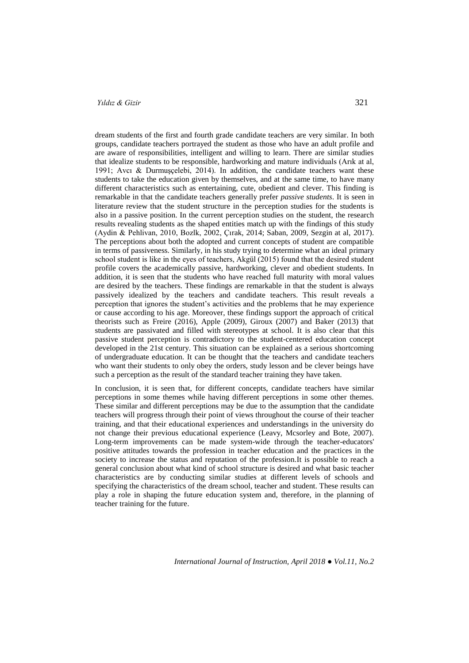dream students of the first and fourth grade candidate teachers are very similar. In both groups, candidate teachers portrayed the student as those who have an adult profile and are aware of responsibilities, intelligent and willing to learn. There are similar studies that idealize students to be responsible, hardworking and mature individuals (Arık at al, 1991; Avcı & Durmuşçelebi, 2014). In addition, the candidate teachers want these students to take the education given by themselves, and at the same time, to have many different characteristics such as entertaining, cute, obedient and clever. This finding is remarkable in that the candidate teachers generally prefer *passive students*. It is seen in literature review that the student structure in the perception studies for the students is also in a passive position. In the current perception studies on the student, the research results revealing students as the shaped entities match up with the findings of this study (Aydin & Pehlivan, 2010, Bozlk, 2002, Çırak, 2014; Saban, 2009, Sezgin at al, 2017). The perceptions about both the adopted and current concepts of student are compatible in terms of passiveness. Similarly, in his study trying to determine what an ideal primary school student is like in the eyes of teachers, Akgül (2015) found that the desired student profile covers the academically passive, hardworking, clever and obedient students. In addition, it is seen that the students who have reached full maturity with moral values are desired by the teachers. These findings are remarkable in that the student is always passively idealized by the teachers and candidate teachers. This result reveals a perception that ignores the student's activities and the problems that he may experience or cause according to his age. Moreover, these findings support the approach of critical theorists such as Freire (2016), Apple (2009), Giroux (2007) and Baker (2013) that students are passivated and filled with stereotypes at school. It is also clear that this passive student perception is contradictory to the student-centered education concept developed in the 21st century. This situation can be explained as a serious shortcoming of undergraduate education. It can be thought that the teachers and candidate teachers who want their students to only obey the orders, study lesson and be clever beings have such a perception as the result of the standard teacher training they have taken.

In conclusion, it is seen that, for different concepts, candidate teachers have similar perceptions in some themes while having different perceptions in some other themes. These similar and different perceptions may be due to the assumption that the candidate teachers will progress through their point of views throughout the course of their teacher training, and that their educational experiences and understandings in the university do not change their previous educational experience (Leavy, Mcsorley and Bote, 2007). Long-term improvements can be made system-wide through the teacher-educators' positive attitudes towards the profession in teacher education and the practices in the society to increase the status and reputation of the profession.It is possible to reach a general conclusion about what kind of school structure is desired and what basic teacher characteristics are by conducting similar studies at different levels of schools and specifying the characteristics of the dream school, teacher and student. These results can play a role in shaping the future education system and, therefore, in the planning of teacher training for the future.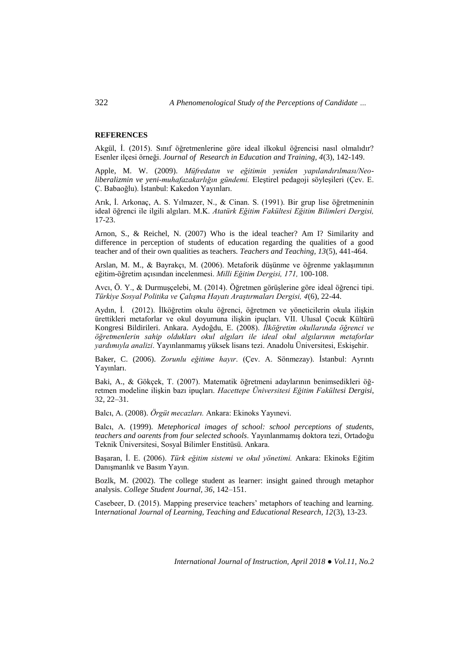## **REFERENCES**

Akgül, İ. (2015). Sınıf öğretmenlerine göre ideal ilkokul öğrencisi nasıl olmalıdır? Esenler ilçesi örneği. *Journal of Research in Education and Training, 4*(3), 142-149.

Apple, M. W. (2009). *Müfredatın ve eğitimin yeniden yapılandırılması/Neoliberalizmin ve yeni-muhafazakarlığın gündemi.* Eleştirel pedagoji söyleşileri (Çev. E. Ç. Babaoğlu). İstanbul: Kakedon Yayınları.

Arık, İ. Arkonaç, A. S. Yılmazer, N., & Cinan. S. (1991). Bir grup lise öğretmeninin ideal öğrenci ile ilgili algıları. M.K. *Atatürk Eğitim Fakültesi Eğitim Bilimleri Dergisi,* 17-23.

Arnon, S., & Reichel, N. (2007) Who is the ideal teacher? Am I? Similarity and difference in perception of students of education regarding the qualities of a good teacher and of their own qualities as teachers. *Teachers and Teaching, 13*(5), 441-464.

Arslan, M. M., & Bayrakçı, M. (2006). Metaforik düşünme ve öğrenme yaklaşımının eğitim-öğretim açısından incelenmesi. *Milli Eğitim Dergisi, 171,* 100-108.

Avcı, Ö. Y., & Durmuşçelebi, M. (2014). Öğretmen görüşlerine göre ideal öğrenci tipi. *Türkiye Sosyal Politika ve Çalışma Hayatı Araştırmaları Dergisi, 4*(6), 22-44.

Aydın, İ. (2012). İlköğretim okulu öğrenci, öğretmen ve yöneticilerin okula ilişkin ürettikleri metaforlar ve okul doyumuna ilişkin ipuçları. VII. Ulusal Çocuk Kültürü Kongresi Bildirileri. Ankara. Aydoğdu, E. (2008). *İlköğretim okullarında öğrenci ve öğretmenlerin sahip oldukları okul algıları ile ideal okul algılarının metaforlar yardımıyla analizi*. Yayınlanmamış yüksek lisans tezi. Anadolu Üniversitesi, Eskişehir.

Baker, C. (2006). *Zorunlu eğitime hayır*. (Çev. A. Sönmezay). İstanbul: Ayrıntı Yayınları.

Baki, A., & Gökçek, T. (2007). Matematik öğretmeni adaylarının benimsedikleri öğretmen modeline ilişkin bazı ipuçları. *Hacettepe Üniversitesi Eğitim Fakültesi Dergisi*, 32, 22–31.

Balcı, A. (2008). *Örgüt mecazları.* Ankara: Ekinoks Yayınevi.

Balcı, A. (1999). *Metephorical images of school: school perceptions of students, teachers and oarents from four selected schools*. Yayınlanmamış doktora tezi, Ortadoğu Teknik Üniversitesi, Sosyal Bilimler Enstitüsü. Ankara.

Başaran, İ. E. (2006). *Türk eğitim sistemi ve okul yönetimi.* Ankara: Ekinoks Eğitim Danışmanlık ve Basım Yayın.

Bozlk, M. (2002). The college student as learner: insight gained through metaphor analysis. *College Student Journal, 36*, 142–151.

Casebeer, D. (2015). Mapping preservice teachers' metaphors of teaching and learning. I*nternational Journal of Learning, Teaching and Educational Research, 12*(3), 13-23.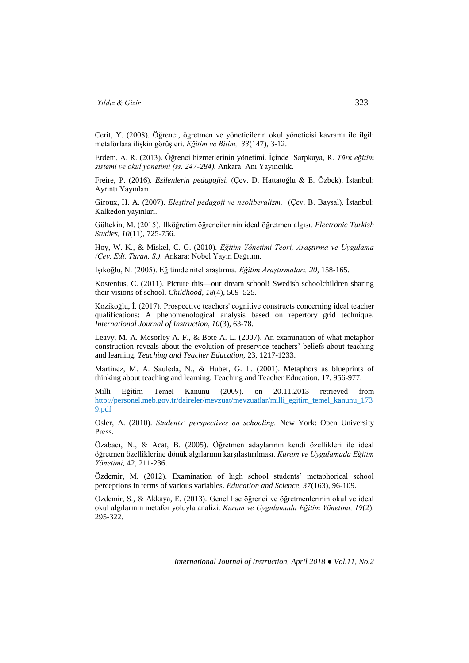Cerit, Y. (2008). Öğrenci, öğretmen ve yöneticilerin okul yöneticisi kavramı ile ilgili metaforlara ilişkin görüşleri. *Eğitim ve Bilim, 33*(147), 3-12.

Erdem, A. R. (2013). Öğrenci hizmetlerinin yönetimi. İçinde Sarpkaya, R. *Türk eğitim sistemi ve okul yönetimi (ss. 247-284).* Ankara: Anı Yayıncılık.

Freire, P. (2016). *Ezilenlerin pedagojisi.* (Çev. D. Hattatoğlu & E. Özbek). İstanbul: Ayrıntı Yayınları.

Giroux, H. A. (2007). *Eleştirel pedagoji ve neoliberalizm.* (Çev. B. Baysal). İstanbul: Kalkedon yayınları.

Gültekin, M. (2015). İlköğretim öğrencilerinin ideal öğretmen algısı. *Electronic Turkish Studies, 10*(11), 725-756.

Hoy, W. K., & Miskel, C. G. (2010). *Eğitim Yönetimi Teori, Araştırma ve Uygulama (Çev. Edt. Turan, S.).* Ankara: Nobel Yayın Dağıtım.

Işıkoğlu, N. (2005). Eğitimde nitel araştırma. *Eğitim Araştırmaları, 20*, 158-165.

Kostenius, C. (2011). Picture this—our dream school! Swedish schoolchildren sharing their visions of school. *Childhood, 18*(4), 509–525.

Kozikoğlu, İ. (2017). Prospective teachers' cognitive constructs concerning ideal teacher qualifications: A phenomenological analysis based on repertory grid technique. *International Journal of Instruction, 10*(3), 63-78.

Leavy, M. A. Mcsorley A. F., & Bote A. L. (2007). An examination of what metaphor construction reveals about the evolution of preservice teachers' beliefs about teaching and learning. *Teaching and Teacher Education,* 23, 1217-1233.

Martínez, M. A. Sauleda, N., & Huber, G. L. (2001). Metaphors as blueprints of thinking about teaching and learning. Teaching and Teacher Education, 17, 956-977.

Milli Eğitim Temel Kanunu (2009). on 20.11.2013 retrieved from [http://personel.meb.gov.tr/daireler/mevzuat/mevzuatlar/milli\\_egitim\\_temel\\_kanunu\\_173](http://personel.meb.gov.tr/daireler/mevzuat/mevzuatlar/milli_egitim_temel_kanunu_1739.pdf) [9.pdf](http://personel.meb.gov.tr/daireler/mevzuat/mevzuatlar/milli_egitim_temel_kanunu_1739.pdf)

Osler, A. (2010). *Students' perspectives on schooling.* New York: Open University Press.

Özabacı, N., & Acat, B. (2005). Öğretmen adaylarının kendi özellikleri ile ideal öğretmen özelliklerine dönük algılarının karşılaştırılması. *Kuram ve Uygulamada Eğitim Yönetimi,* 42, 211-236.

Özdemir, M. (2012). Examination of high school students' metaphorical school perceptions in terms of various variables. *Education and Science, 37*(163), 96-109.

Özdemir, S., & Akkaya, E. (2013). Genel lise öğrenci ve öğretmenlerinin okul ve ideal okul algılarının metafor yoluyla analizi. *Kuram ve Uygulamada Eğitim Yönetimi, 19*(2), 295-322.